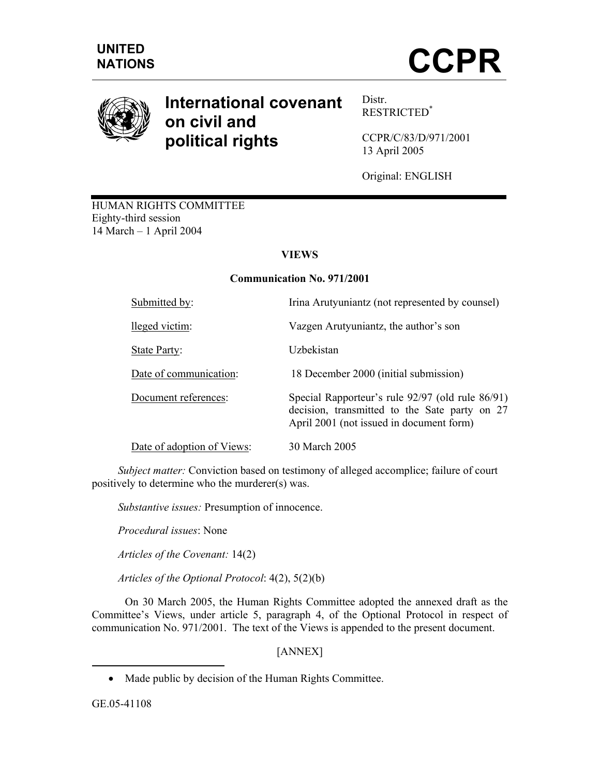



# **International covenant on civil and political rights**

Distr. RESTRICTED\*

CCPR/C/83/D/971/2001 13 April 2005

Original: ENGLISH

HUMAN RIGHTS COMMITTEE Eighty-third session 14 March – 1 April 2004

## **VIEWS**

#### **Communication No. 971/2001**

| Submitted by:              | Irina Arutyuniantz (not represented by counsel)                                                                                               |
|----------------------------|-----------------------------------------------------------------------------------------------------------------------------------------------|
| lleged victim:             | Vazgen Arutyuniantz, the author's son                                                                                                         |
| State Party:               | Uzbekistan                                                                                                                                    |
| Date of communication:     | 18 December 2000 (initial submission)                                                                                                         |
| Document references:       | Special Rapporteur's rule 92/97 (old rule 86/91)<br>decision, transmitted to the Sate party on 27<br>April 2001 (not issued in document form) |
| Date of adoption of Views: | 30 March 2005                                                                                                                                 |

 *Subject matter:* Conviction based on testimony of alleged accomplice; failure of court positively to determine who the murderer(s) was.

 *Substantive issues:* Presumption of innocence.

*Procedural issues*: None

 *Articles of the Covenant:* 14(2)

*Articles of the Optional Protocol*: 4(2), 5(2)(b)

 On 30 March 2005, the Human Rights Committee adopted the annexed draft as the Committee's Views, under article 5, paragraph 4, of the Optional Protocol in respect of communication No. 971/2001. The text of the Views is appended to the present document.

[ANNEX]

-

<sup>•</sup> Made public by decision of the Human Rights Committee.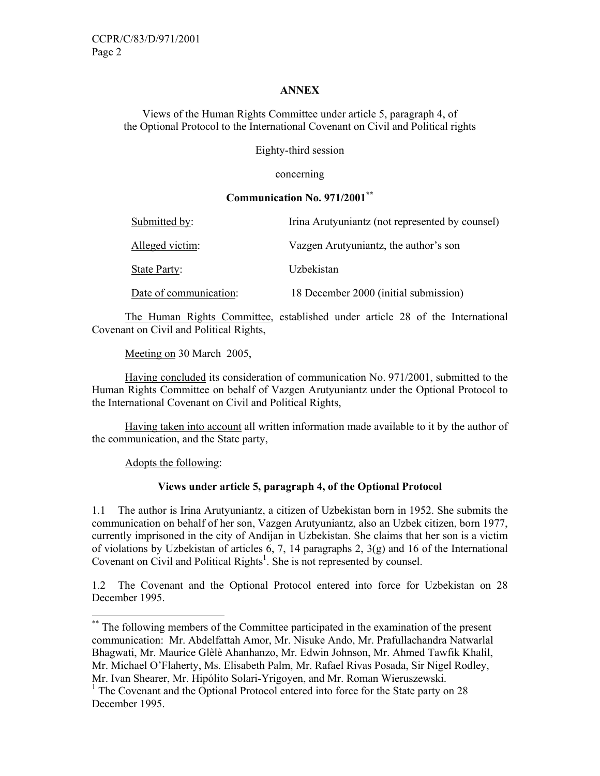#### **ANNEX**

Views of the Human Rights Committee under article 5, paragraph 4, of the Optional Protocol to the International Covenant on Civil and Political rights

Eighty-third session

concerning

#### **Communication No. 971/2001\*\***

| Submitted by:          | Irina Arutyuniantz (not represented by counsel) |
|------------------------|-------------------------------------------------|
| Alleged victim:        | Vazgen Arutyuniantz, the author's son           |
| State Party:           | Uzbekistan                                      |
| Date of communication: | 18 December 2000 (initial submission)           |

 The Human Rights Committee, established under article 28 of the International Covenant on Civil and Political Rights,

Meeting on 30 March 2005,

 Having concluded its consideration of communication No. 971/2001, submitted to the Human Rights Committee on behalf of Vazgen Arutyuniantz under the Optional Protocol to the International Covenant on Civil and Political Rights,

 Having taken into account all written information made available to it by the author of the communication, and the State party,

Adopts the following:

-

#### **Views under article 5, paragraph 4, of the Optional Protocol**

1.1 The author is Irina Arutyuniantz, a citizen of Uzbekistan born in 1952. She submits the communication on behalf of her son, Vazgen Arutyuniantz, also an Uzbek citizen, born 1977, currently imprisoned in the city of Andijan in Uzbekistan. She claims that her son is a victim of violations by Uzbekistan of articles 6, 7, 14 paragraphs 2,  $3(g)$  and 16 of the International Covenant on Civil and Political Rights<sup>1</sup>. She is not represented by counsel.

1.2 The Covenant and the Optional Protocol entered into force for Uzbekistan on 28 December 1995.

<sup>\*\*</sup> The following members of the Committee participated in the examination of the present communication: Mr. Abdelfattah Amor, Mr. Nisuke Ando, Mr. Prafullachandra Natwarlal Bhagwati, Mr. Maurice Glèlè Ahanhanzo, Mr. Edwin Johnson, Mr. Ahmed Tawfik Khalil, Mr. Michael O'Flaherty, Ms. Elisabeth Palm, Mr. Rafael Rivas Posada, Sir Nigel Rodley, Mr. Ivan Shearer, Mr. Hipólito Solari-Yrigoyen, and Mr. Roman Wieruszewski.

<sup>&</sup>lt;sup>1</sup> The Covenant and the Optional Protocol entered into force for the State party on 28 December 1995.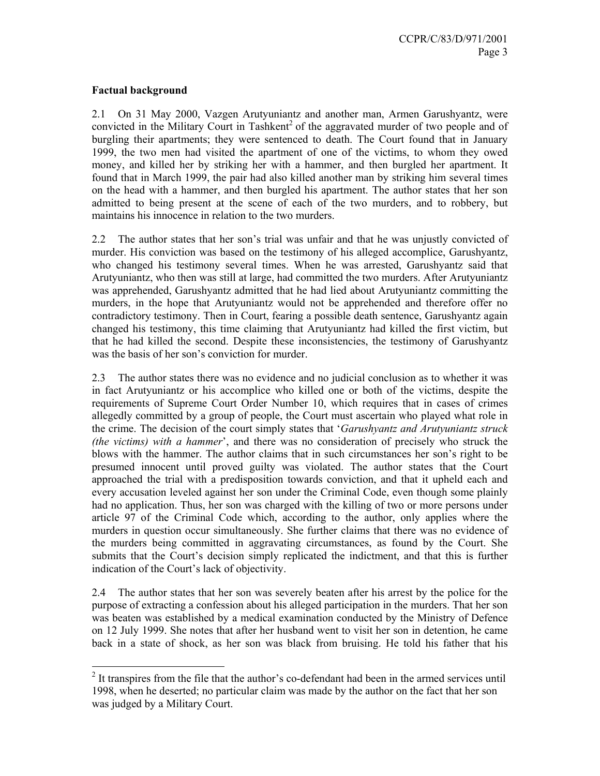#### **Factual background**

2.1 On 31 May 2000, Vazgen Arutyuniantz and another man, Armen Garushyantz, were convicted in the Military Court in Tashkent<sup>2</sup> of the aggravated murder of two people and of burgling their apartments; they were sentenced to death. The Court found that in January 1999, the two men had visited the apartment of one of the victims, to whom they owed money, and killed her by striking her with a hammer, and then burgled her apartment. It found that in March 1999, the pair had also killed another man by striking him several times on the head with a hammer, and then burgled his apartment. The author states that her son admitted to being present at the scene of each of the two murders, and to robbery, but maintains his innocence in relation to the two murders.

2.2 The author states that her son's trial was unfair and that he was unjustly convicted of murder. His conviction was based on the testimony of his alleged accomplice, Garushyantz, who changed his testimony several times. When he was arrested, Garushyantz said that Arutyuniantz, who then was still at large, had committed the two murders. After Arutyuniantz was apprehended, Garushyantz admitted that he had lied about Arutyuniantz committing the murders, in the hope that Arutyuniantz would not be apprehended and therefore offer no contradictory testimony. Then in Court, fearing a possible death sentence, Garushyantz again changed his testimony, this time claiming that Arutyuniantz had killed the first victim, but that he had killed the second. Despite these inconsistencies, the testimony of Garushyantz was the basis of her son's conviction for murder.

2.3 The author states there was no evidence and no judicial conclusion as to whether it was in fact Arutyuniantz or his accomplice who killed one or both of the victims, despite the requirements of Supreme Court Order Number 10, which requires that in cases of crimes allegedly committed by a group of people, the Court must ascertain who played what role in the crime. The decision of the court simply states that '*Garushyantz and Arutyuniantz struck (the victims) with a hammer*', and there was no consideration of precisely who struck the blows with the hammer. The author claims that in such circumstances her son's right to be presumed innocent until proved guilty was violated. The author states that the Court approached the trial with a predisposition towards conviction, and that it upheld each and every accusation leveled against her son under the Criminal Code, even though some plainly had no application. Thus, her son was charged with the killing of two or more persons under article 97 of the Criminal Code which, according to the author, only applies where the murders in question occur simultaneously. She further claims that there was no evidence of the murders being committed in aggravating circumstances, as found by the Court. She submits that the Court's decision simply replicated the indictment, and that this is further indication of the Court's lack of objectivity.

2.4 The author states that her son was severely beaten after his arrest by the police for the purpose of extracting a confession about his alleged participation in the murders. That her son was beaten was established by a medical examination conducted by the Ministry of Defence on 12 July 1999. She notes that after her husband went to visit her son in detention, he came back in a state of shock, as her son was black from bruising. He told his father that his

<sup>&</sup>lt;sup>2</sup> It transpires from the file that the author's co-defendant had been in the armed services until 1998, when he deserted; no particular claim was made by the author on the fact that her son was judged by a Military Court.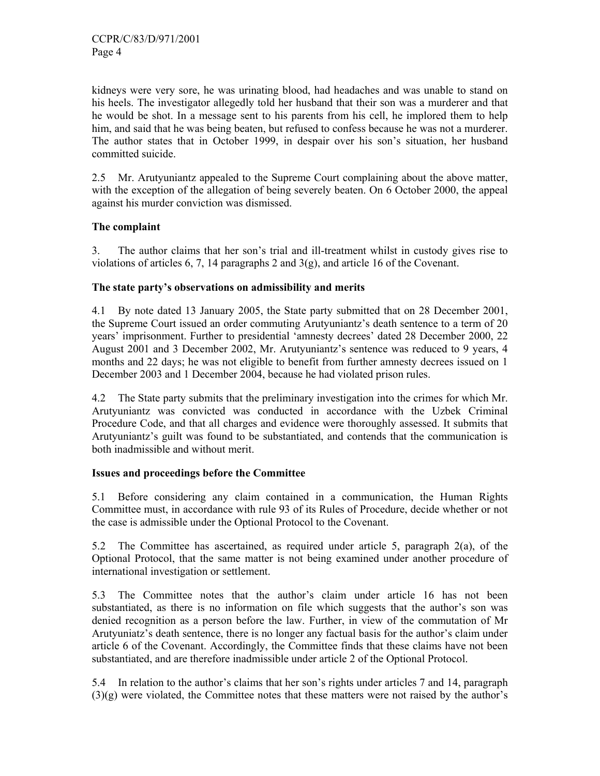kidneys were very sore, he was urinating blood, had headaches and was unable to stand on his heels. The investigator allegedly told her husband that their son was a murderer and that he would be shot. In a message sent to his parents from his cell, he implored them to help him, and said that he was being beaten, but refused to confess because he was not a murderer. The author states that in October 1999, in despair over his son's situation, her husband committed suicide.

2.5 Mr. Arutyuniantz appealed to the Supreme Court complaining about the above matter, with the exception of the allegation of being severely beaten. On 6 October 2000, the appeal against his murder conviction was dismissed.

## **The complaint**

3. The author claims that her son's trial and ill-treatment whilst in custody gives rise to violations of articles 6, 7, 14 paragraphs 2 and 3(g), and article 16 of the Covenant.

#### **The state party's observations on admissibility and merits**

4.1 By note dated 13 January 2005, the State party submitted that on 28 December 2001, the Supreme Court issued an order commuting Arutyuniantz's death sentence to a term of 20 years' imprisonment. Further to presidential 'amnesty decrees' dated 28 December 2000, 22 August 2001 and 3 December 2002, Mr. Arutyuniantz's sentence was reduced to 9 years, 4 months and 22 days; he was not eligible to benefit from further amnesty decrees issued on 1 December 2003 and 1 December 2004, because he had violated prison rules.

4.2 The State party submits that the preliminary investigation into the crimes for which Mr. Arutyuniantz was convicted was conducted in accordance with the Uzbek Criminal Procedure Code, and that all charges and evidence were thoroughly assessed. It submits that Arutyuniantz's guilt was found to be substantiated, and contends that the communication is both inadmissible and without merit.

#### **Issues and proceedings before the Committee**

5.1 Before considering any claim contained in a communication, the Human Rights Committee must, in accordance with rule 93 of its Rules of Procedure, decide whether or not the case is admissible under the Optional Protocol to the Covenant.

5.2 The Committee has ascertained, as required under article 5, paragraph 2(a), of the Optional Protocol, that the same matter is not being examined under another procedure of international investigation or settlement.

5.3 The Committee notes that the author's claim under article 16 has not been substantiated, as there is no information on file which suggests that the author's son was denied recognition as a person before the law. Further, in view of the commutation of Mr Arutyuniatz's death sentence, there is no longer any factual basis for the author's claim under article 6 of the Covenant. Accordingly, the Committee finds that these claims have not been substantiated, and are therefore inadmissible under article 2 of the Optional Protocol.

5.4 In relation to the author's claims that her son's rights under articles 7 and 14, paragraph (3)(g) were violated, the Committee notes that these matters were not raised by the author's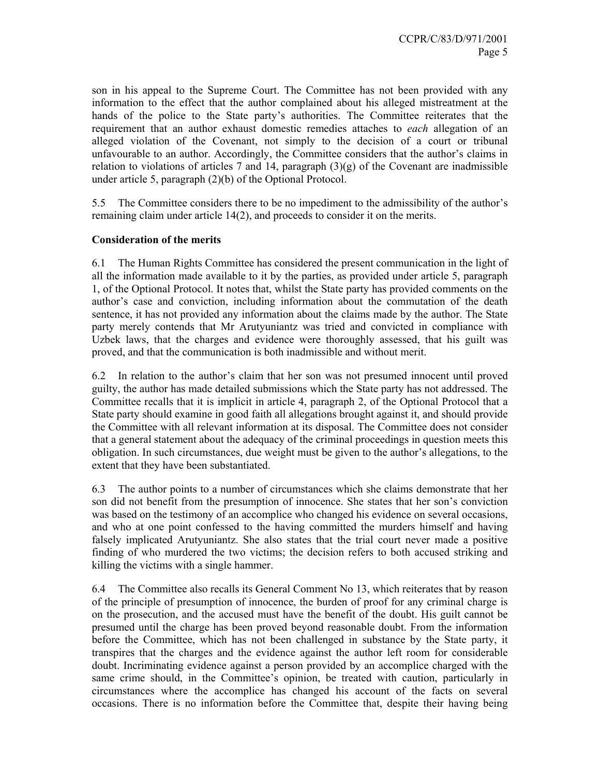son in his appeal to the Supreme Court. The Committee has not been provided with any information to the effect that the author complained about his alleged mistreatment at the hands of the police to the State party's authorities. The Committee reiterates that the requirement that an author exhaust domestic remedies attaches to *each* allegation of an alleged violation of the Covenant, not simply to the decision of a court or tribunal unfavourable to an author. Accordingly, the Committee considers that the author's claims in relation to violations of articles 7 and 14, paragraph  $(3)(g)$  of the Covenant are inadmissible under article 5, paragraph (2)(b) of the Optional Protocol.

5.5 The Committee considers there to be no impediment to the admissibility of the author's remaining claim under article 14(2), and proceeds to consider it on the merits.

### **Consideration of the merits**

6.1 The Human Rights Committee has considered the present communication in the light of all the information made available to it by the parties, as provided under article 5, paragraph 1, of the Optional Protocol. It notes that, whilst the State party has provided comments on the author's case and conviction, including information about the commutation of the death sentence, it has not provided any information about the claims made by the author. The State party merely contends that Mr Arutyuniantz was tried and convicted in compliance with Uzbek laws, that the charges and evidence were thoroughly assessed, that his guilt was proved, and that the communication is both inadmissible and without merit.

6.2 In relation to the author's claim that her son was not presumed innocent until proved guilty, the author has made detailed submissions which the State party has not addressed. The Committee recalls that it is implicit in article 4, paragraph 2, of the Optional Protocol that a State party should examine in good faith all allegations brought against it, and should provide the Committee with all relevant information at its disposal. The Committee does not consider that a general statement about the adequacy of the criminal proceedings in question meets this obligation. In such circumstances, due weight must be given to the author's allegations, to the extent that they have been substantiated.

6.3 The author points to a number of circumstances which she claims demonstrate that her son did not benefit from the presumption of innocence. She states that her son's conviction was based on the testimony of an accomplice who changed his evidence on several occasions, and who at one point confessed to the having committed the murders himself and having falsely implicated Arutyuniantz. She also states that the trial court never made a positive finding of who murdered the two victims; the decision refers to both accused striking and killing the victims with a single hammer.

6.4 The Committee also recalls its General Comment No 13, which reiterates that by reason of the principle of presumption of innocence, the burden of proof for any criminal charge is on the prosecution, and the accused must have the benefit of the doubt. His guilt cannot be presumed until the charge has been proved beyond reasonable doubt. From the information before the Committee, which has not been challenged in substance by the State party, it transpires that the charges and the evidence against the author left room for considerable doubt. Incriminating evidence against a person provided by an accomplice charged with the same crime should, in the Committee's opinion, be treated with caution, particularly in circumstances where the accomplice has changed his account of the facts on several occasions. There is no information before the Committee that, despite their having being